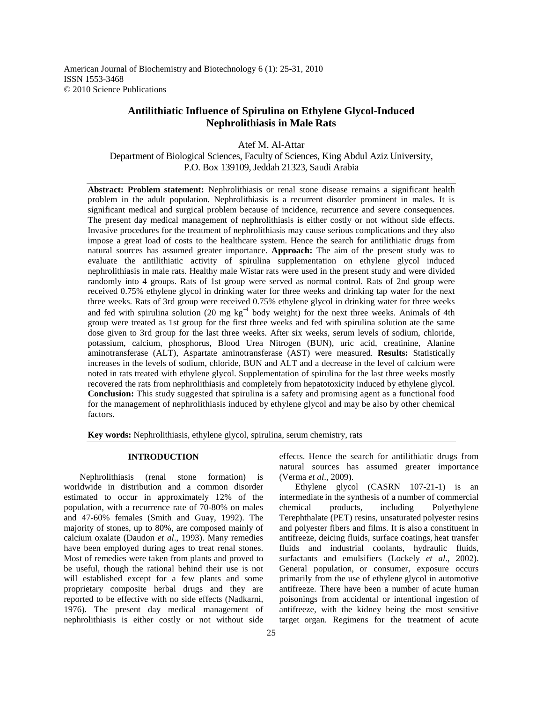American Journal of Biochemistry and Biotechnology 6 (1): 25-31, 2010 ISSN 1553-3468 © 2010 Science Publications

# **Antilithiatic Influence of Spirulina on Ethylene Glycol-Induced Nephrolithiasis in Male Rats**

Atef M. Al-Attar Department of Biological Sciences, Faculty of Sciences, King Abdul Aziz University, P.O. Box 139109, Jeddah 21323, Saudi Arabia

**Abstract: Problem statement:** Nephrolithiasis or renal stone disease remains a significant health problem in the adult population. Nephrolithiasis is a recurrent disorder prominent in males. It is significant medical and surgical problem because of incidence, recurrence and severe consequences. The present day medical management of nephrolithiasis is either costly or not without side effects. Invasive procedures for the treatment of nephrolithiasis may cause serious complications and they also impose a great load of costs to the healthcare system. Hence the search for antilithiatic drugs from natural sources has assumed greater importance. **Approach:** The aim of the present study was to evaluate the antilithiatic activity of spirulina supplementation on ethylene glycol induced nephrolithiasis in male rats. Healthy male Wistar rats were used in the present study and were divided randomly into 4 groups. Rats of 1st group were served as normal control. Rats of 2nd group were received 0.75% ethylene glycol in drinking water for three weeks and drinking tap water for the next three weeks. Rats of 3rd group were received 0.75% ethylene glycol in drinking water for three weeks and fed with spirulina solution (20 mg kg<sup>-1</sup> body weight) for the next three weeks. Animals of 4th group were treated as 1st group for the first three weeks and fed with spirulina solution ate the same dose given to 3rd group for the last three weeks. After six weeks, serum levels of sodium, chloride, potassium, calcium, phosphorus, Blood Urea Nitrogen (BUN), uric acid, creatinine, Alanine aminotransferase (ALT), Aspartate aminotransferase (AST) were measured. **Results:** Statistically increases in the levels of sodium, chloride, BUN and ALT and a decrease in the level of calcium were noted in rats treated with ethylene glycol. Supplementation of spirulina for the last three weeks mostly recovered the rats from nephrolithiasis and completely from hepatotoxicity induced by ethylene glycol. **Conclusion:** This study suggested that spirulina is a safety and promising agent as a functional food for the management of nephrolithiasis induced by ethylene glycol and may be also by other chemical factors.

**Key words:** Nephrolithiasis, ethylene glycol, spirulina, serum chemistry, rats

#### **INTRODUCTION**

 Nephrolithiasis (renal stone formation) is worldwide in distribution and a common disorder estimated to occur in approximately 12% of the population, with a recurrence rate of 70-80% on males and 47-60% females (Smith and Guay, 1992). The majority of stones, up to 80%, are composed mainly of calcium oxalate (Daudon *et al*., 1993). Many remedies have been employed during ages to treat renal stones. Most of remedies were taken from plants and proved to be useful, though the rational behind their use is not will established except for a few plants and some proprietary composite herbal drugs and they are reported to be effective with no side effects (Nadkarni, 1976). The present day medical management of nephrolithiasis is either costly or not without side

effects. Hence the search for antilithiatic drugs from natural sources has assumed greater importance (Verma *et al*., 2009).

 Ethylene glycol (CASRN 107-21-1) is an intermediate in the synthesis of a number of commercial chemical products, including Polyethylene Terephthalate (PET) resins, unsaturated polyester resins and polyester fibers and films. It is also a constituent in antifreeze, deicing fluids, surface coatings, heat transfer fluids and industrial coolants, hydraulic fluids, surfactants and emulsifiers (Lockely *et al*., 2002). General population, or consumer, exposure occurs primarily from the use of ethylene glycol in automotive antifreeze. There have been a number of acute human poisonings from accidental or intentional ingestion of antifreeze, with the kidney being the most sensitive target organ. Regimens for the treatment of acute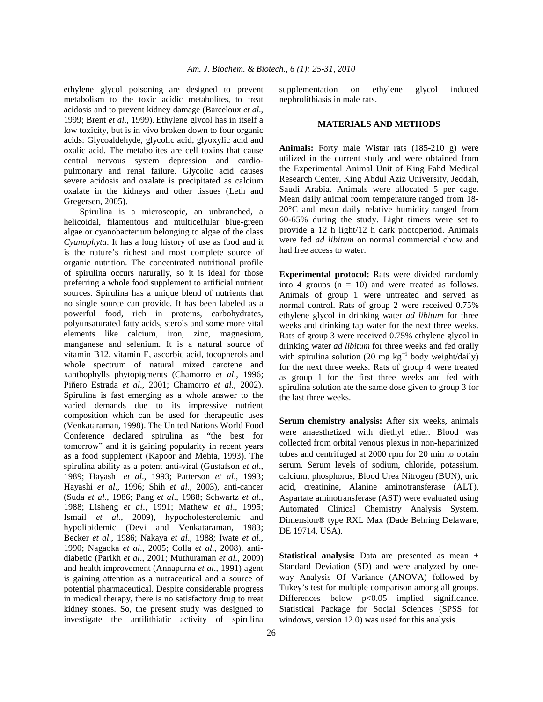ethylene glycol poisoning are designed to prevent metabolism to the toxic acidic metabolites, to treat acidosis and to prevent kidney damage (Barceloux *et al*., 1999; Brent *et al*., 1999). Ethylene glycol has in itself a low toxicity, but is in vivo broken down to four organic acids: Glycoaldehyde, glycolic acid, glyoxylic acid and oxalic acid. The metabolites are cell toxins that cause central nervous system depression and cardiopulmonary and renal failure. Glycolic acid causes severe acidosis and oxalate is precipitated as calcium oxalate in the kidneys and other tissues (Leth and Gregersen, 2005).

 Spirulina is a microscopic, an unbranched, a helicoidal, filamentous and multicellular blue-green algae or cyanobacterium belonging to algae of the class *Cyanophyta*. It has a long history of use as food and it is the nature's richest and most complete source of organic nutrition. The concentrated nutritional profile of spirulina occurs naturally, so it is ideal for those preferring a whole food supplement to artificial nutrient sources. Spirulina has a unique blend of nutrients that no single source can provide. It has been labeled as a powerful food, rich in proteins, carbohydrates, polyunsaturated fatty acids, sterols and some more vital elements like calcium, iron, zinc, magnesium, manganese and selenium. It is a natural source of vitamin B12, vitamin E, ascorbic acid, tocopherols and whole spectrum of natural mixed carotene and xanthophylls phytopigments (Chamorro *et al*., 1996; Piñero Estrada *et al*., 2001; Chamorro *et al*., 2002). Spirulina is fast emerging as a whole answer to the varied demands due to its impressive nutrient composition which can be used for therapeutic uses (Venkataraman, 1998). The United Nations World Food Conference declared spirulina as "the best for tomorrow" and it is gaining popularity in recent years as a food supplement (Kapoor and Mehta, 1993). The spirulina ability as a potent anti-viral (Gustafson *et al*., 1989; Hayashi *et al*., 1993; Patterson *et al*., 1993; Hayashi *et al*., 1996; Shih *et al*., 2003), anti-cancer (Suda *et al*., 1986; Pang *et al*., 1988; Schwartz *et al*., 1988; Lisheng *et al*., 1991; Mathew *et al*., 1995; Ismail *et al*., 2009), hypocholesterolemic and hypolipidemic (Devi and Venkataraman, 1983; Becker *et al*., 1986; Nakaya *et al*., 1988; Iwate *et al*., 1990; Nagaoka *et al*., 2005; Colla *et al*., 2008), antidiabetic (Parikh *et al*., 2001; Muthuraman *et al*., 2009) and health improvement (Annapurna *et al*., 1991) agent is gaining attention as a nutraceutical and a source of potential pharmaceutical. Despite considerable progress in medical therapy, there is no satisfactory drug to treat kidney stones. So, the present study was designed to investigate the antilithiatic activity of spirulina

supplementation on ethylene glycol induced nephrolithiasis in male rats.

#### **MATERIALS AND METHODS**

**Animals:** Forty male Wistar rats (185-210 g) were utilized in the current study and were obtained from the Experimental Animal Unit of King Fahd Medical Research Center, King Abdul Aziz University, Jeddah, Saudi Arabia. Animals were allocated 5 per cage. Mean daily animal room temperature ranged from 18- 20°C and mean daily relative humidity ranged from 60-65% during the study. Light timers were set to provide a 12 h light/12 h dark photoperiod. Animals were fed *ad libitum* on normal commercial chow and had free access to water.

**Experimental protocol:** Rats were divided randomly into 4 groups  $(n = 10)$  and were treated as follows. Animals of group 1 were untreated and served as normal control. Rats of group 2 were received 0.75% ethylene glycol in drinking water *ad libitum* for three weeks and drinking tap water for the next three weeks. Rats of group 3 were received 0.75% ethylene glycol in drinking water *ad libitum* for three weeks and fed orally with spirulina solution (20 mg  $kg^{-1}$  body weight/daily) for the next three weeks. Rats of group 4 were treated as group 1 for the first three weeks and fed with spirulina solution ate the same dose given to group 3 for the last three weeks.

**Serum chemistry analysis:** After six weeks, animals were anaesthetized with diethyl ether. Blood was collected from orbital venous plexus in non-heparinized tubes and centrifuged at 2000 rpm for 20 min to obtain serum. Serum levels of sodium, chloride, potassium, calcium, phosphorus, Blood Urea Nitrogen (BUN), uric acid, creatinine, Alanine aminotransferase (ALT), Aspartate aminotransferase (AST) were evaluated using Automated Clinical Chemistry Analysis System, Dimension® type RXL Max (Dade Behring Delaware, DE 19714, USA).

**Statistical analysis:** Data are presented as mean ± Standard Deviation (SD) and were analyzed by oneway Analysis Of Variance (ANOVA) followed by Tukey's test for multiple comparison among all groups. Differences below p<0.05 implied significance. Statistical Package for Social Sciences (SPSS for windows, version 12.0) was used for this analysis.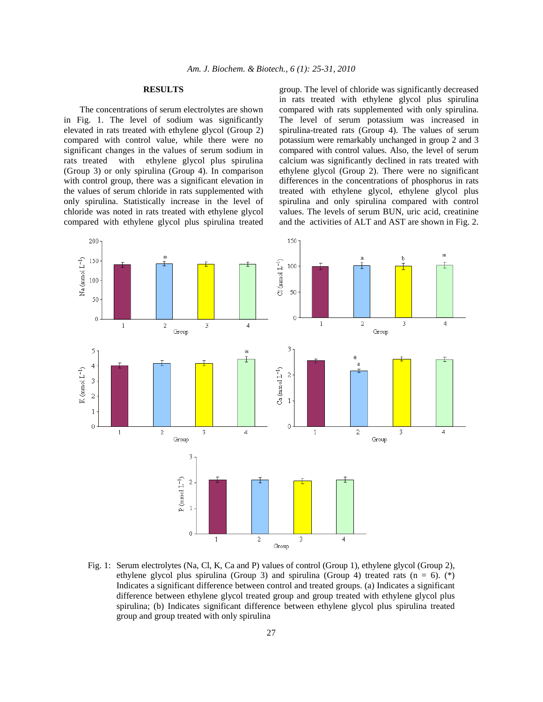## **RESULTS**

 The concentrations of serum electrolytes are shown in Fig. 1. The level of sodium was significantly elevated in rats treated with ethylene glycol (Group 2) compared with control value, while there were no significant changes in the values of serum sodium in rats treated with ethylene glycol plus spirulina (Group 3) or only spirulina (Group 4). In comparison with control group, there was a significant elevation in the values of serum chloride in rats supplemented with only spirulina. Statistically increase in the level of chloride was noted in rats treated with ethylene glycol compared with ethylene glycol plus spirulina treated group. The level of chloride was significantly decreased in rats treated with ethylene glycol plus spirulina compared with rats supplemented with only spirulina. The level of serum potassium was increased in spirulina-treated rats (Group 4). The values of serum potassium were remarkably unchanged in group 2 and 3 compared with control values. Also, the level of serum calcium was significantly declined in rats treated with ethylene glycol (Group 2). There were no significant differences in the concentrations of phosphorus in rats treated with ethylene glycol, ethylene glycol plus spirulina and only spirulina compared with control values. The levels of serum BUN, uric acid, creatinine and the activities of ALT and AST are shown in Fig. 2.



Fig. 1: Serum electrolytes (Na, Cl, K, Ca and P) values of control (Group 1), ethylene glycol (Group 2), ethylene glycol plus spirulina (Group 3) and spirulina (Group 4) treated rats ( $n = 6$ ). (\*) Indicates a significant difference between control and treated groups. (a) Indicates a significant difference between ethylene glycol treated group and group treated with ethylene glycol plus spirulina; (b) Indicates significant difference between ethylene glycol plus spirulina treated group and group treated with only spirulina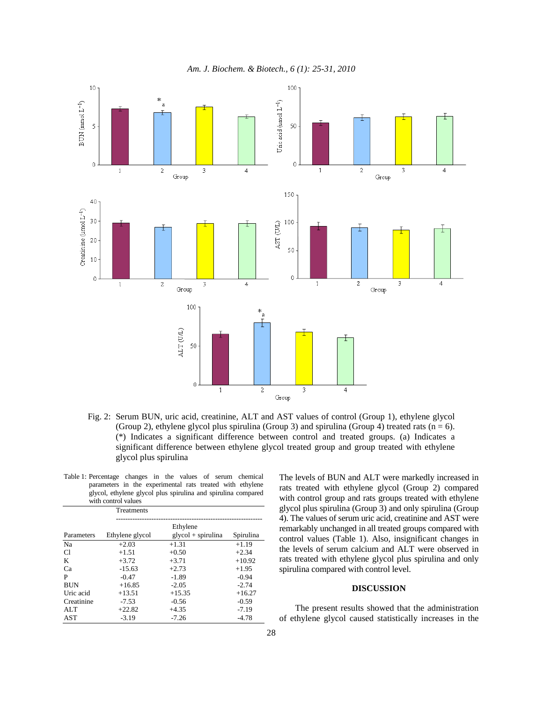

Fig. 2: Serum BUN, uric acid, creatinine, ALT and AST values of control (Group 1), ethylene glycol (Group 2), ethylene glycol plus spirulina (Group 3) and spirulina (Group 4) treated rats ( $n = 6$ ). (\*) Indicates a significant difference between control and treated groups. (a) Indicates a significant difference between ethylene glycol treated group and group treated with ethylene glycol plus spirulina

| Table 1: Percentage changes in the values of serum chemical   |  |  |  |  |  |  |  |
|---------------------------------------------------------------|--|--|--|--|--|--|--|
| parameters in the experimental rats treated with ethylene     |  |  |  |  |  |  |  |
| glycol, ethylene glycol plus spirulina and spirulina compared |  |  |  |  |  |  |  |
| with control values                                           |  |  |  |  |  |  |  |

|            | Treatments      |                      |           |
|------------|-----------------|----------------------|-----------|
|            |                 | Ethylene             |           |
| Parameters | Ethylene glycol | $glycol + spirulina$ | Spirulina |
| Na         | $+2.03$         | $+1.31$              | $+1.19$   |
| C1         | $+1.51$         | $+0.50$              | $+2.34$   |
| K          | $+3.72$         | $+3.71$              | $+10.92$  |
| Ca         | $-15.63$        | $+2.73$              | $+1.95$   |
| P          | $-0.47$         | $-1.89$              | $-0.94$   |
| <b>BUN</b> | $+16.85$        | $-2.05$              | $-2.74$   |
| Uric acid  | $+13.51$        | $+15.35$             | $+16.27$  |
| Creatinine | $-7.53$         | $-0.56$              | $-0.59$   |
| ALT        | $+22.82$        | $+4.35$              | $-7.19$   |
| <b>AST</b> | $-3.19$         | $-7.26$              | $-4.78$   |

The levels of BUN and ALT were markedly increased in rats treated with ethylene glycol (Group 2) compared with control group and rats groups treated with ethylene glycol plus spirulina (Group 3) and only spirulina (Group 4). The values of serum uric acid, creatinine and AST were remarkably unchanged in all treated groups compared with control values (Table 1). Also, insignificant changes in the levels of serum calcium and ALT were observed in rats treated with ethylene glycol plus spirulina and only spirulina compared with control level.

## **DISCUSSION**

 The present results showed that the administration of ethylene glycol caused statistically increases in the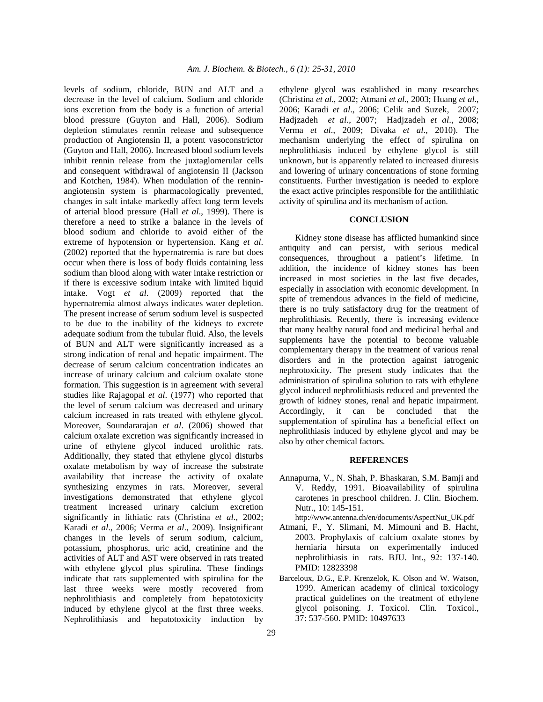levels of sodium, chloride, BUN and ALT and a decrease in the level of calcium. Sodium and chloride ions excretion from the body is a function of arterial blood pressure (Guyton and Hall, 2006). Sodium depletion stimulates rennin release and subsequence production of Angiotensin II, a potent vasoconstrictor (Guyton and Hall, 2006). Increased blood sodium levels inhibit rennin release from the juxtaglomerular cells and consequent withdrawal of angiotensin II (Jackson and Kotchen, 1984). When modulation of the renninangiotensin system is pharmacologically prevented, changes in salt intake markedly affect long term levels of arterial blood pressure (Hall *et al*., 1999). There is therefore a need to strike a balance in the levels of blood sodium and chloride to avoid either of the extreme of hypotension or hypertension. Kang *et al*. (2002) reported that the hypernatremia is rare but does occur when there is loss of body fluids containing less sodium than blood along with water intake restriction or if there is excessive sodium intake with limited liquid intake. Vogt *et al*. (2009) reported that the hypernatremia almost always indicates water depletion. The present increase of serum sodium level is suspected to be due to the inability of the kidneys to excrete adequate sodium from the tubular fluid. Also, the levels of BUN and ALT were significantly increased as a strong indication of renal and hepatic impairment. The decrease of serum calcium concentration indicates an increase of urinary calcium and calcium oxalate stone formation. This suggestion is in agreement with several studies like Rajagopal *et al*. (1977) who reported that the level of serum calcium was decreased and urinary calcium increased in rats treated with ethylene glycol. Moreover, Soundararajan *et al*. (2006) showed that calcium oxalate excretion was significantly increased in urine of ethylene glycol induced urolithic rats. Additionally, they stated that ethylene glycol disturbs oxalate metabolism by way of increase the substrate availability that increase the activity of oxalate synthesizing enzymes in rats. Moreover, several investigations demonstrated that ethylene glycol treatment increased urinary calcium excretion significantly in lithiatic rats (Christina *et al*., 2002; Karadi *et al*., 2006; Verma *et al*., 2009). Insignificant changes in the levels of serum sodium, calcium, potassium, phosphorus, uric acid, creatinine and the activities of ALT and AST were observed in rats treated with ethylene glycol plus spirulina. These findings indicate that rats supplemented with spirulina for the last three weeks were mostly recovered from nephrolithiasis and completely from hepatotoxicity induced by ethylene glycol at the first three weeks. Nephrolithiasis and hepatotoxicity induction by

ethylene glycol was established in many researches (Christina *et al*., 2002; Atmani *et al*., 2003; Huang *et al*., 2006; Karadi *et al*., 2006; Celik and Suzek, 2007; Hadjzadeh *et al*., 2007; Hadjzadeh *et al*., 2008; Verma *et al*., 2009; Divaka *et al*., 2010). The mechanism underlying the effect of spirulina on nephrolithiasis induced by ethylene glycol is still unknown, but is apparently related to increased diuresis and lowering of urinary concentrations of stone forming constituents. Further investigation is needed to explore the exact active principles responsible for the antilithiatic activity of spirulina and its mechanism of action.

## **CONCLUSION**

 Kidney stone disease has afflicted humankind since antiquity and can persist, with serious medical consequences, throughout a patient's lifetime. In addition, the incidence of kidney stones has been increased in most societies in the last five decades, especially in association with economic development. In spite of tremendous advances in the field of medicine, there is no truly satisfactory drug for the treatment of nephrolithiasis. Recently, there is increasing evidence that many healthy natural food and medicinal herbal and supplements have the potential to become valuable complementary therapy in the treatment of various renal disorders and in the protection against iatrogenic nephrotoxicity. The present study indicates that the administration of spirulina solution to rats with ethylene glycol induced nephrolithiasis reduced and prevented the growth of kidney stones, renal and hepatic impairment. Accordingly, it can be concluded that the supplementation of spirulina has a beneficial effect on nephrolithiasis induced by ethylene glycol and may be also by other chemical factors.

#### **REFERENCES**

- Annapurna, V., N. Shah, P. Bhaskaran, S.M. Bamji and V. Reddy, 1991. Bioavailability of spirulina carotenes in preschool children. J. Clin. Biochem. Nutr., 10: 145-151.
- http://www.antenna.ch/en/documents/AspectNut\_UK.pdf
- Atmani, F., Y. Slimani, M. Mimouni and B. Hacht, 2003. Prophylaxis of calcium oxalate stones by herniaria hirsuta on experimentally induced nephrolithiasis in rats. BJU. Int., 92: 137-140. PMID: 12823398
- Barceloux, D.G., E.P. Krenzelok, K. Olson and W. Watson, 1999. American academy of clinical toxicology practical guidelines on the treatment of ethylene glycol poisoning. J. Toxicol. Clin. Toxicol., 37: 537-560. PMID: 10497633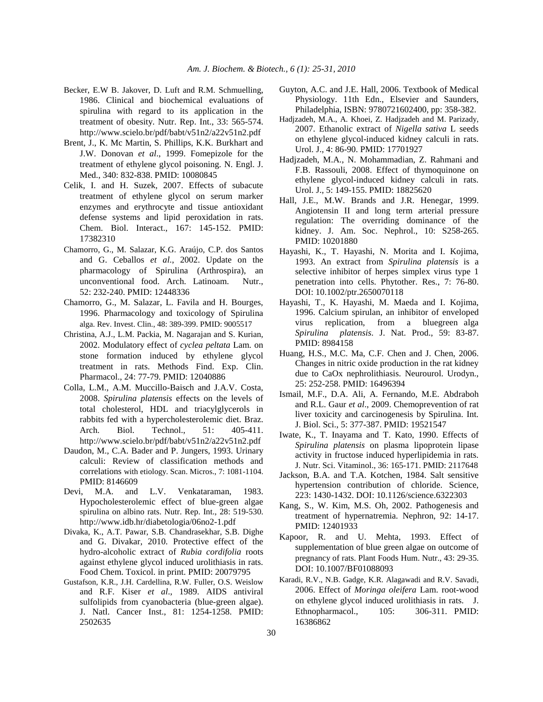- Becker, E.W B. Jakover, D. Luft and R.M. Schmuelling, 1986. Clinical and biochemical evaluations of spirulina with regard to its application in the treatment of obesity. Nutr. Rep. Int., 33: 565-574. http://www.scielo.br/pdf/babt/v51n2/a22v51n2.pdf
- Brent, J., K. Mc Martin, S. Phillips, K.K. Burkhart and J.W. Donovan *et al*., 1999. Fomepizole for the treatment of ethylene glycol poisoning. N. Engl. J. Med., 340: 832-838. PMID: 10080845
- Celik, I. and H. Suzek, 2007. Effects of subacute treatment of ethylene glycol on serum marker enzymes and erythrocyte and tissue antioxidant defense systems and lipid peroxidation in rats. Chem. Biol. Interact., 167: 145-152. PMID: 17382310
- Chamorro, G., M. Salazar, K.G. Araújo, C.P. dos Santos and G. Ceballos *et al*., 2002. Update on the pharmacology of Spirulina (Arthrospira), an unconventional food. Arch. Latinoam. Nutr., 52: 232-240. PMID: 12448336
- Chamorro, G., M. Salazar, L. Favila and H. Bourges, 1996. Pharmacology and toxicology of Spirulina alga. Rev. Invest. Clin., 48: 389-399. PMID: 9005517
- Christina, A.J., L.M. Packia, M. Nagarajan and S. Kurian, 2002. Modulatory effect of *cyclea peltata* Lam. on stone formation induced by ethylene glycol treatment in rats. Methods Find. Exp. Clin. Pharmacol., 24: 77-79. PMID: 12040886
- Colla, L.M., A.M. Muccillo-Baisch and J.A.V. Costa, 2008. *Spirulina platensis* effects on the levels of total cholesterol, HDL and triacylglycerols in rabbits fed with a hypercholesterolemic diet. Braz. Arch. Biol. Technol., 51: 405-411. http://www.scielo.br/pdf/babt/v51n2/a22v51n2.pdf
- Daudon, M., C.A. Bader and P. Jungers, 1993. Urinary calculi: Review of classification methods and correlations with etiology. Scan. Micros., 7: 1081-1104. PMID: 8146609
- Devi, M.A. and L.V. Venkataraman, 1983. Hypocholesterolemic effect of blue-green algae spirulina on albino rats. Nutr. Rep. Int., 28: 519-530. http://www.idb.hr/diabetologia/06no2-1.pdf
- Divaka, K., A.T. Pawar, S.B. Chandrasekhar, S.B. Dighe and G. Divakar, 2010. Protective effect of the hydro-alcoholic extract of *Rubia cordifolia* roots against ethylene glycol induced urolithiasis in rats. Food Chem. Toxicol. in print. PMID: 20079795
- Gustafson, K.R., J.H. Cardellina, R.W. Fuller, O.S. Weislow and R.F. Kiser *et al*., 1989. AIDS antiviral sulfolipids from cyanobacteria (blue-green algae). J. Natl. Cancer Inst., 81: 1254-1258. PMID: 2502635
- Guyton, A.C. and J.E. Hall, 2006. Textbook of Medical Physiology. 11th Edn., Elsevier and Saunders, Philadelphia, ISBN: 9780721602400, pp: 358-382.
- Hadjzadeh, M.A., A. Khoei, Z. Hadjzadeh and M. Parizady, 2007. Ethanolic extract of *Nigella sativa* L seeds on ethylene glycol-induced kidney calculi in rats. Urol. J., 4: 86-90. PMID: 17701927
- Hadjzadeh, M.A., N. Mohammadian, Z. Rahmani and F.B. Rassouli, 2008. Effect of thymoquinone on ethylene glycol-induced kidney calculi in rats. Urol. J., 5: 149-155. PMID: 18825620
- Hall, J.E., M.W. Brands and J.R. Henegar, 1999. Angiotensin II and long term arterial pressure regulation: The overriding dominance of the kidney. J. Am. Soc. Nephrol., 10: S258-265. PMID: 10201880
- Hayashi, K., T. Hayashi, N. Morita and I. Kojima, 1993. An extract from *Spirulina platensis* is a selective inhibitor of herpes simplex virus type 1 penetration into cells. Phytother. Res., 7: 76-80. DOI: 10.1002/ptr.2650070118
- Hayashi, T., K. Hayashi, M. Maeda and I. Kojima, 1996. Calcium spirulan, an inhibitor of enveloped virus replication, from a bluegreen alga *Spirulina platensis*. J. Nat. Prod., 59: 83-87. PMID: 8984158
- Huang, H.S., M.C. Ma, C.F. Chen and J. Chen, 2006. Changes in nitric oxide production in the rat kidney due to CaOx nephrolithiasis. Neurourol. Urodyn., 25: 252-258. PMID: 16496394
- Ismail, M.F., D.A. Ali, A. Fernando, M.E. Abdraboh and R.L. Gaur *et al*., 2009. Chemoprevention of rat liver toxicity and carcinogenesis by Spirulina. Int. J. Biol. Sci., 5: 377-387. PMID: 19521547
- Iwate, K., T. Inayama and T. Kato, 1990. Effects of *Spirulina platensis* on plasma lipoprotein lipase activity in fructose induced hyperlipidemia in rats. J. Nutr. Sci. Vitaminol., 36: 165-171. PMID: 2117648
- Jackson, B.A. and T.A. Kotchen, 1984. Salt sensitive hypertension contribution of chloride. Science, 223: 1430-1432. DOI: 10.1126/science.6322303
- Kang, S., W. Kim, M.S. Oh, 2002. Pathogenesis and treatment of hypernatremia. Nephron, 92: 14-17. PMID: 12401933
- Kapoor, R. and U. Mehta, 1993. Effect of supplementation of blue green algae on outcome of pregnancy of rats. Plant Foods Hum. Nutr., 43: 29-35. DOI: 10.1007/BF01088093
- Karadi, R.V., N.B. Gadge, K.R. Alagawadi and R.V. Savadi, 2006. Effect of *Moringa oleifera* Lam. root-wood on ethylene glycol induced urolithiasis in rats. J. Ethnopharmacol., 105: 306-311. PMID: 16386862